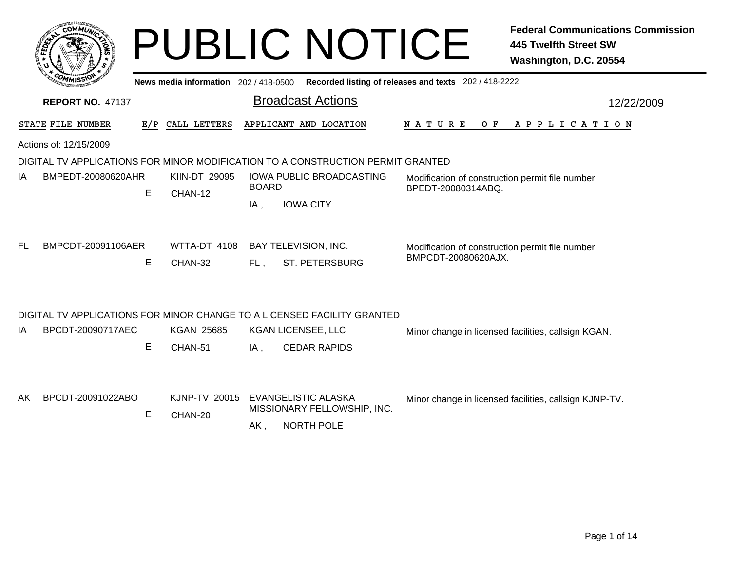|                                                                                 |   |                                       |                          | <b>PUBLIC NOTICE</b>            |                                                                       | <b>Federal Communications Commission</b><br><b>445 Twelfth Street SW</b><br>Washington, D.C. 20554 |  |  |  |
|---------------------------------------------------------------------------------|---|---------------------------------------|--------------------------|---------------------------------|-----------------------------------------------------------------------|----------------------------------------------------------------------------------------------------|--|--|--|
|                                                                                 |   | News media information 202 / 418-0500 |                          |                                 | Recorded listing of releases and texts 202 / 418-2222                 |                                                                                                    |  |  |  |
| <b>REPORT NO. 47137</b>                                                         |   |                                       | <b>Broadcast Actions</b> |                                 | 12/22/2009                                                            |                                                                                                    |  |  |  |
| STATE FILE NUMBER                                                               |   | E/P CALL LETTERS                      |                          | APPLICANT AND LOCATION          | N A T U R E<br>O F                                                    | A P P L I C A T I O N                                                                              |  |  |  |
| Actions of: 12/15/2009                                                          |   |                                       |                          |                                 |                                                                       |                                                                                                    |  |  |  |
| DIGITAL TV APPLICATIONS FOR MINOR MODIFICATION TO A CONSTRUCTION PERMIT GRANTED |   |                                       |                          |                                 |                                                                       |                                                                                                    |  |  |  |
| BMPEDT-20080620AHR<br>ΙA                                                        |   | KIIN-DT 29095                         | <b>BOARD</b>             | <b>IOWA PUBLIC BROADCASTING</b> | Modification of construction permit file number<br>BPEDT-20080314ABQ. |                                                                                                    |  |  |  |
|                                                                                 | Е | CHAN-12                               | IA,                      | <b>IOWA CITY</b>                |                                                                       |                                                                                                    |  |  |  |
|                                                                                 |   |                                       |                          |                                 |                                                                       |                                                                                                    |  |  |  |
| BMPCDT-20091106AER<br>FL                                                        |   | WTTA-DT 4108                          |                          | <b>BAY TELEVISION, INC.</b>     | Modification of construction permit file number                       |                                                                                                    |  |  |  |
|                                                                                 | Е | CHAN-32                               | FL.                      | <b>ST. PETERSBURG</b>           | BMPCDT-20080620AJX.                                                   |                                                                                                    |  |  |  |
|                                                                                 |   |                                       |                          |                                 |                                                                       |                                                                                                    |  |  |  |
|                                                                                 |   |                                       |                          |                                 |                                                                       |                                                                                                    |  |  |  |
| DIGITAL TV APPLICATIONS FOR MINOR CHANGE TO A LICENSED FACILITY GRANTED         |   |                                       |                          |                                 |                                                                       |                                                                                                    |  |  |  |
| BPCDT-20090717AEC<br>ΙA                                                         |   | <b>KGAN 25685</b>                     |                          | KGAN LICENSEE, LLC              |                                                                       | Minor change in licensed facilities, callsign KGAN.                                                |  |  |  |
|                                                                                 | Е | CHAN-51                               | IA,                      | <b>CEDAR RAPIDS</b>             |                                                                       |                                                                                                    |  |  |  |
|                                                                                 |   |                                       |                          |                                 |                                                                       |                                                                                                    |  |  |  |
| BPCDT-20091022ABO<br>AK.                                                        |   | KJNP-TV 20015                         |                          | EVANGELISTIC ALASKA             |                                                                       | Minor change in licensed facilities, callsign KJNP-TV.                                             |  |  |  |
|                                                                                 | Е | CHAN-20                               |                          | MISSIONARY FELLOWSHIP, INC.     |                                                                       |                                                                                                    |  |  |  |
|                                                                                 |   |                                       | $AK$ ,                   | <b>NORTH POLE</b>               |                                                                       |                                                                                                    |  |  |  |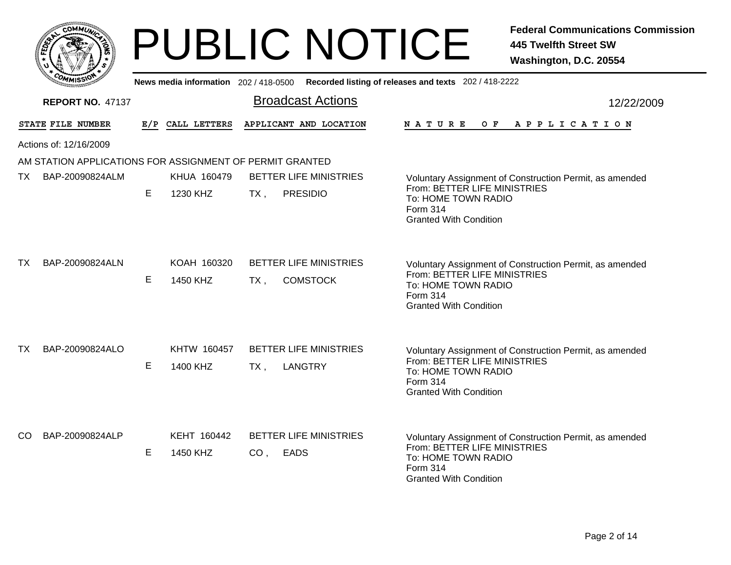|                                                          |   |                                       | <b>PUBLIC NOTICE</b>                                       | <b>Federal Communications Commission</b><br><b>445 Twelfth Street SW</b><br>Washington, D.C. 20554                                                          |
|----------------------------------------------------------|---|---------------------------------------|------------------------------------------------------------|-------------------------------------------------------------------------------------------------------------------------------------------------------------|
|                                                          |   | News media information 202 / 418-0500 |                                                            | Recorded listing of releases and texts 202 / 418-2222                                                                                                       |
| <b>REPORT NO. 47137</b>                                  |   |                                       | <b>Broadcast Actions</b>                                   | 12/22/2009                                                                                                                                                  |
| STATE FILE NUMBER                                        |   | E/P CALL LETTERS                      | APPLICANT AND LOCATION                                     | N A T U R E<br>O F<br>A P P L I C A T I O N                                                                                                                 |
| Actions of: 12/16/2009                                   |   |                                       |                                                            |                                                                                                                                                             |
| AM STATION APPLICATIONS FOR ASSIGNMENT OF PERMIT GRANTED |   |                                       |                                                            |                                                                                                                                                             |
| BAP-20090824ALM<br>TX                                    |   | KHUA 160479                           | <b>BETTER LIFE MINISTRIES</b>                              | Voluntary Assignment of Construction Permit, as amended                                                                                                     |
|                                                          | E | 1230 KHZ                              | <b>PRESIDIO</b><br>TX .                                    | From: BETTER LIFE MINISTRIES<br>To: HOME TOWN RADIO<br>Form 314<br><b>Granted With Condition</b>                                                            |
| TX<br>BAP-20090824ALN                                    | E | KOAH 160320<br>1450 KHZ               | <b>BETTER LIFE MINISTRIES</b><br><b>COMSTOCK</b><br>$TX$ , | Voluntary Assignment of Construction Permit, as amended<br>From: BETTER LIFE MINISTRIES<br>To: HOME TOWN RADIO<br>Form 314<br><b>Granted With Condition</b> |
| BAP-20090824ALO<br>TX                                    | Е | KHTW 160457<br>1400 KHZ               | <b>BETTER LIFE MINISTRIES</b><br><b>LANGTRY</b><br>$TX$ ,  | Voluntary Assignment of Construction Permit, as amended<br>From: BETTER LIFE MINISTRIES<br>To: HOME TOWN RADIO<br>Form 314<br><b>Granted With Condition</b> |
| CO.<br>BAP-20090824ALP                                   | Е | KEHT 160442<br>1450 KHZ               | <b>BETTER LIFE MINISTRIES</b><br><b>EADS</b><br>CO,        | Voluntary Assignment of Construction Permit, as amended<br>From: BETTER LIFE MINISTRIES<br>To: HOME TOWN RADIO<br>Form 314<br><b>Granted With Condition</b> |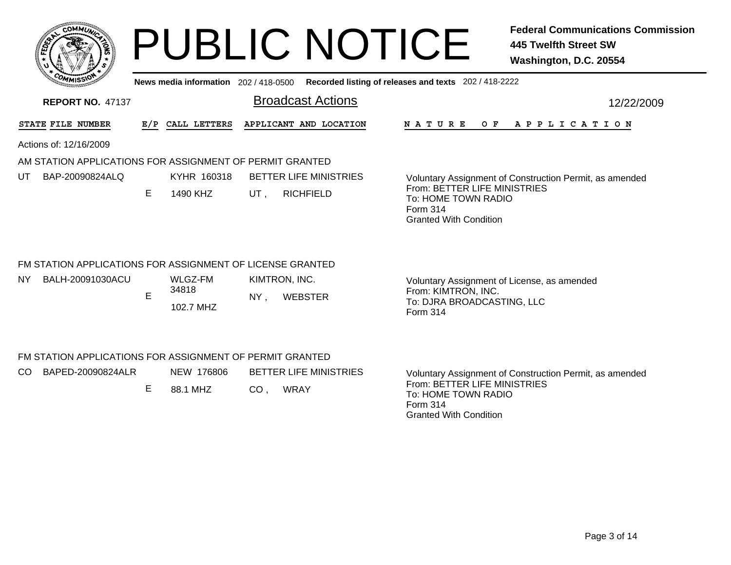|    | <b>CO</b>           | <b>MMUNA</b> |
|----|---------------------|--------------|
| ສັ |                     | ¢,<br>٠<br>忝 |
|    |                     |              |
|    | COM<br>MISS<br>muce |              |

# PUBLIC NOTICE **Federal Communications Commission 445 Twelfth Street SW Washington, D.C. 20554**

**News media information** 202 / 418-0500**Recorded listing of releases and texts** 202 / 418-2222

| <b>REPORT NO. 47137</b> |                        |                   |     |                  | <b>Broadcast Actions</b>                                  |                                                                                                         | 12/22/2009 |  |  |
|-------------------------|------------------------|-------------------|-----|------------------|-----------------------------------------------------------|---------------------------------------------------------------------------------------------------------|------------|--|--|
|                         | STATE FILE NUMBER      |                   | E/P | CALL LETTERS     | APPLICANT AND LOCATION                                    | <b>NATURE</b><br>O F<br>APPLICATION                                                                     |            |  |  |
|                         | Actions of: 12/16/2009 |                   |     |                  |                                                           |                                                                                                         |            |  |  |
|                         |                        |                   |     |                  | AM STATION APPLICATIONS FOR ASSIGNMENT OF PERMIT GRANTED  |                                                                                                         |            |  |  |
| UT                      |                        | BAP-20090824ALQ   |     | KYHR 160318      | BETTER LIFE MINISTRIES                                    | Voluntary Assignment of Construction Permit, as amended                                                 |            |  |  |
|                         |                        |                   | Е   | 1490 KHZ         | <b>RICHFIELD</b><br>UT,                                   | From: BETTER LIFE MINISTRIES<br>To: HOME TOWN RADIO<br>Form 314<br><b>Granted With Condition</b>        |            |  |  |
|                         |                        |                   |     |                  | FM STATION APPLICATIONS FOR ASSIGNMENT OF LICENSE GRANTED |                                                                                                         |            |  |  |
| NY.                     |                        | BALH-20091030ACU  |     | WLGZ-FM<br>34818 | KIMTRON, INC.                                             | Voluntary Assignment of License, as amended                                                             |            |  |  |
|                         |                        |                   | E   | 102.7 MHZ        | <b>WEBSTER</b><br>NY.                                     | From: KIMTRON, INC.<br>To: DJRA BROADCASTING, LLC<br>Form 314                                           |            |  |  |
|                         |                        |                   |     |                  | FM STATION APPLICATIONS FOR ASSIGNMENT OF PERMIT GRANTED  |                                                                                                         |            |  |  |
| CO.                     |                        | BAPED-20090824ALR |     | NEW 176806       | <b>BETTER LIFE MINISTRIES</b>                             | Voluntary Assignment of Construction Permit, as amended                                                 |            |  |  |
|                         |                        |                   | Е   | 88.1 MHZ         | <b>WRAY</b><br>CO,                                        | From: BETTER LIFE MINISTRIES<br>To: HOME TOWN RADIO<br><b>Form 314</b><br><b>Granted With Condition</b> |            |  |  |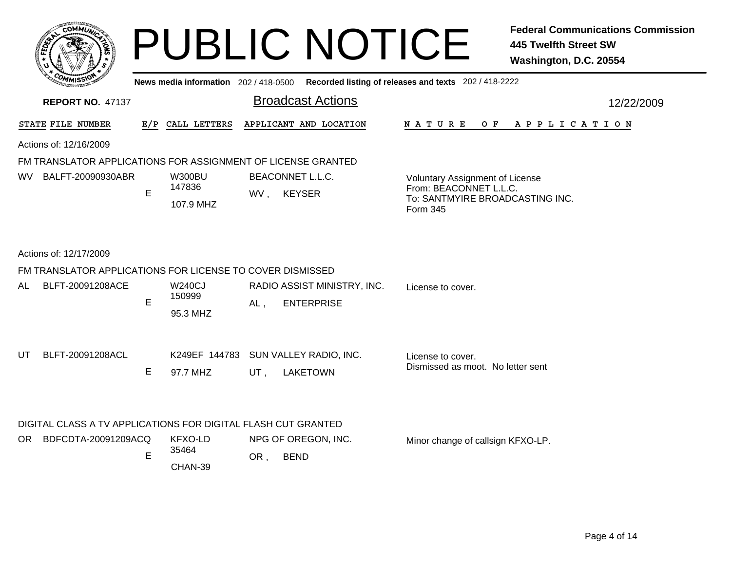| <b>COMMUNI</b>          |  |
|-------------------------|--|
| ্র<br>FED <sub>EY</sub> |  |
| ÷                       |  |
| COMMISS                 |  |
| mua                     |  |

AL

UT

### PUBLIC NOTICE **Federal Communications Commission 445 Twelfth Street SW Washington, D.C. 20554**

12/22/2009

Broadcast Actions**News media information** 202 / 418-0500 **Recorded listing of releases and texts** 202 / 418-2222 **REPORT NO.** 47137STATE FILE NUMBER **FILE NUMBER E/P CALL LETTERS APPLICANT AND LOCATION N A T U R E O F A P P L I C A T I O N** Actions of: 12/16/2009FM TRANSLATOR APPLICATIONS FOR ASSIGNMENT OF LICENSE GRANTEDE WV, KEYSER 107.9 MHZEVoluntary Assignment of License From: BEACONNET L.L.C.To: SANTMYIRE BROADCASTING INC.Form 345W300BU BEACONNET L.L.C. 147836WV BALFT-20090930ABRActions of: 12/17/2009FM TRANSLATOR APPLICATIONS FOR LICENSE TO COVER DISMISSED, ENTERPRISE 95.3 MHZE $AL.$ W240CJ RADIO ASSIST MINISTRY, INC. License to cover.150999 BLFT-20091208ACEE 97.7 MHZ UT , LAKETOWN License to cover.Dismissed as moot. No letter sent BLFT-20091208ACL K249EF 144783 SUN VALLEY RADIO, INC. DIGITAL CLASS A TV APPLICATIONS FOR DIGITAL FLASH CUT GRANTED, BEND CHAN-39EE OR KFXO-LDNPG OF OREGON, INC. Minor change of callsign KFXO-LP. 35464OR BDFCDTA-20091209ACQPage 4 of 14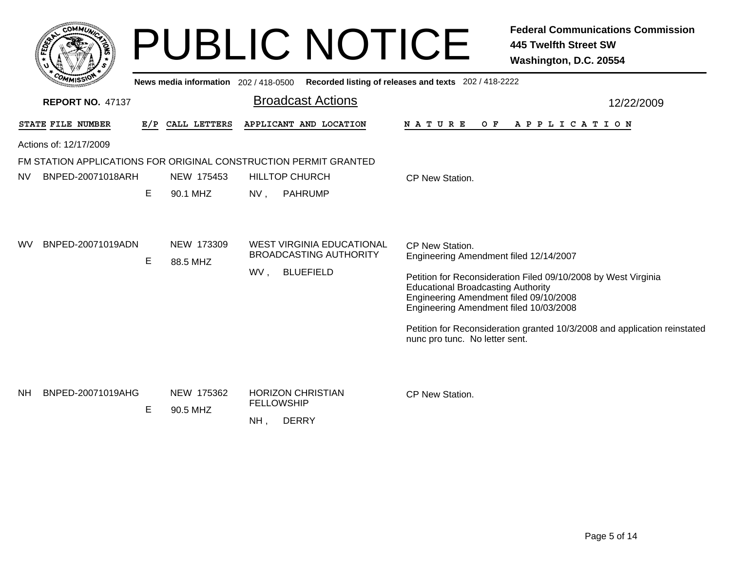| COMMUT                         |    |                        | <b>PUBLIC NOTICE</b>                                                                                               | <b>Federal Communications Commission</b><br><b>445 Twelfth Street SW</b><br>Washington, D.C. 20554                                                                                                                                                                                                                                                                          |
|--------------------------------|----|------------------------|--------------------------------------------------------------------------------------------------------------------|-----------------------------------------------------------------------------------------------------------------------------------------------------------------------------------------------------------------------------------------------------------------------------------------------------------------------------------------------------------------------------|
|                                |    |                        | News media information 202 / 418-0500 Recorded listing of releases and texts 202 / 418-2222                        |                                                                                                                                                                                                                                                                                                                                                                             |
| <b>REPORT NO. 47137</b>        |    |                        | <b>Broadcast Actions</b>                                                                                           | 12/22/2009                                                                                                                                                                                                                                                                                                                                                                  |
| STATE FILE NUMBER              |    | E/P CALL LETTERS       | APPLICANT AND LOCATION                                                                                             | N A T U R E<br>OF APPLICATION                                                                                                                                                                                                                                                                                                                                               |
| Actions of: 12/17/2009         |    |                        |                                                                                                                    |                                                                                                                                                                                                                                                                                                                                                                             |
| BNPED-20071018ARH<br>NV        | E. | NEW 175453<br>90.1 MHZ | FM STATION APPLICATIONS FOR ORIGINAL CONSTRUCTION PERMIT GRANTED<br><b>HILLTOP CHURCH</b><br>NV,<br><b>PAHRUMP</b> | CP New Station.                                                                                                                                                                                                                                                                                                                                                             |
| WV.<br>BNPED-20071019ADN       | E  | NEW 173309<br>88.5 MHZ | <b>WEST VIRGINIA EDUCATIONAL</b><br><b>BROADCASTING AUTHORITY</b><br>WV,<br><b>BLUEFIELD</b>                       | CP New Station.<br>Engineering Amendment filed 12/14/2007<br>Petition for Reconsideration Filed 09/10/2008 by West Virginia<br><b>Educational Broadcasting Authority</b><br>Engineering Amendment filed 09/10/2008<br>Engineering Amendment filed 10/03/2008<br>Petition for Reconsideration granted 10/3/2008 and application reinstated<br>nunc pro tunc. No letter sent. |
| <b>NH</b><br>BNPED-20071019AHG | Е  | NEW 175362<br>90.5 MHZ | <b>HORIZON CHRISTIAN</b><br><b>FELLOWSHIP</b><br><b>DERRY</b><br>$NH$ ,                                            | CP New Station.                                                                                                                                                                                                                                                                                                                                                             |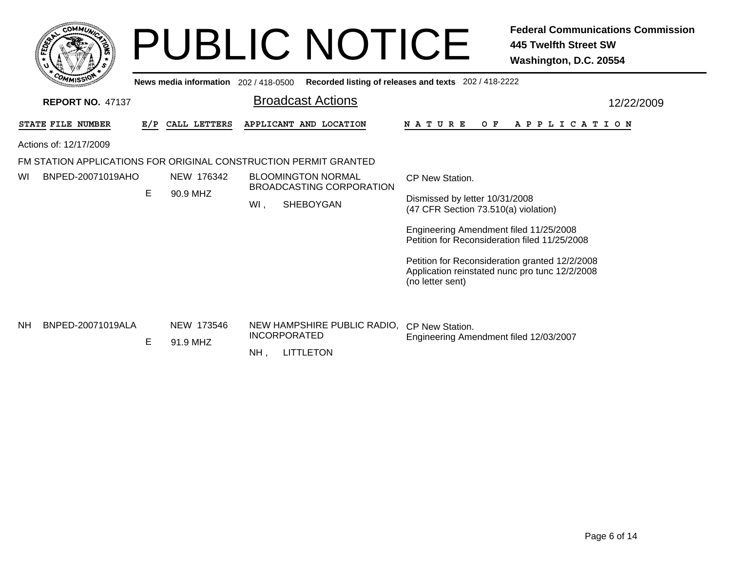|           |                                             |     |                                       | <b>PUBLIC NOTICE</b>                                                             | <b>Federal Communications Commission</b><br>445 Twelfth Street SW<br>Washington, D.C. 20554                                                                                                                                                                                                                  |
|-----------|---------------------------------------------|-----|---------------------------------------|----------------------------------------------------------------------------------|--------------------------------------------------------------------------------------------------------------------------------------------------------------------------------------------------------------------------------------------------------------------------------------------------------------|
|           | <b>REPORT NO. 47137</b>                     |     | News media information 202 / 418-0500 | <b>Broadcast Actions</b>                                                         | Recorded listing of releases and texts 202 / 418-2222<br>12/22/2009                                                                                                                                                                                                                                          |
|           | STATE FILE NUMBER<br>Actions of: 12/17/2009 | E/P | CALL LETTERS                          | APPLICANT AND LOCATION                                                           | N A T U R E<br>O F<br>A P P L I C A T I O N                                                                                                                                                                                                                                                                  |
|           |                                             |     |                                       | FM STATION APPLICATIONS FOR ORIGINAL CONSTRUCTION PERMIT GRANTED                 |                                                                                                                                                                                                                                                                                                              |
| WI        | BNPED-20071019AHO                           | E   | NEW 176342<br>90.9 MHZ                | <b>BLOOMINGTON NORMAL</b><br><b>BROADCASTING CORPORATION</b><br>SHEBOYGAN<br>WI, | CP New Station.<br>Dismissed by letter 10/31/2008<br>(47 CFR Section 73.510(a) violation)<br>Engineering Amendment filed 11/25/2008<br>Petition for Reconsideration filed 11/25/2008<br>Petition for Reconsideration granted 12/2/2008<br>Application reinstated nunc pro tunc 12/2/2008<br>(no letter sent) |
| <b>NH</b> | BNPED-20071019ALA                           | E   | NEW 173546<br>91.9 MHZ                | NEW HAMPSHIRE PUBLIC RADIO.<br><b>INCORPORATED</b><br><b>LITTLETON</b><br>NH.    | CP New Station.<br>Engineering Amendment filed 12/03/2007                                                                                                                                                                                                                                                    |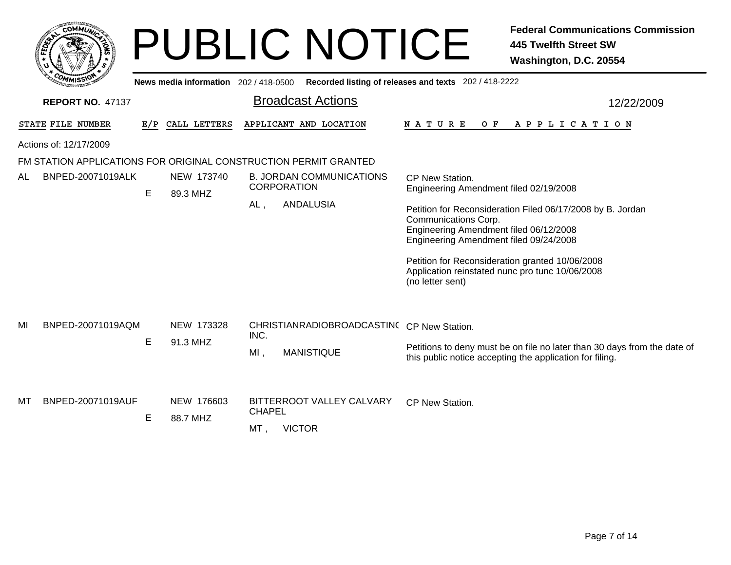|    | <b>COMMUT</b>           |     |                                     | <b>PUBLIC NOTICE</b>                                               | <b>Federal Communications Commission</b><br><b>445 Twelfth Street SW</b><br>Washington, D.C. 20554                                                                     |  |  |  |  |  |
|----|-------------------------|-----|-------------------------------------|--------------------------------------------------------------------|------------------------------------------------------------------------------------------------------------------------------------------------------------------------|--|--|--|--|--|
|    |                         |     | News media information 202/418-0500 |                                                                    | Recorded listing of releases and texts 202 / 418-2222                                                                                                                  |  |  |  |  |  |
|    | <b>REPORT NO. 47137</b> |     |                                     | <b>Broadcast Actions</b>                                           | 12/22/2009                                                                                                                                                             |  |  |  |  |  |
|    | STATE FILE NUMBER       | E/P | CALL LETTERS                        | APPLICANT AND LOCATION                                             | N A T U R E<br>O F<br>A P P L I C A T I O N                                                                                                                            |  |  |  |  |  |
|    | Actions of: 12/17/2009  |     |                                     |                                                                    |                                                                                                                                                                        |  |  |  |  |  |
|    |                         |     |                                     | FM STATION APPLICATIONS FOR ORIGINAL CONSTRUCTION PERMIT GRANTED   |                                                                                                                                                                        |  |  |  |  |  |
| AL | BNPED-20071019ALK       | E   | NEW 173740<br>89.3 MHZ              | <b>B. JORDAN COMMUNICATIONS</b><br><b>CORPORATION</b>              | CP New Station.<br>Engineering Amendment filed 02/19/2008                                                                                                              |  |  |  |  |  |
|    |                         |     |                                     | <b>ANDALUSIA</b><br>AL.                                            | Petition for Reconsideration Filed 06/17/2008 by B. Jordan<br>Communications Corp.<br>Engineering Amendment filed 06/12/2008<br>Engineering Amendment filed 09/24/2008 |  |  |  |  |  |
|    |                         |     |                                     |                                                                    | Petition for Reconsideration granted 10/06/2008<br>Application reinstated nunc pro tunc 10/06/2008<br>(no letter sent)                                                 |  |  |  |  |  |
| MI | BNPED-20071019AQM       |     | NEW 173328                          | CHRISTIANRADIOBROADCASTINC CP New Station.<br>INC.                 |                                                                                                                                                                        |  |  |  |  |  |
|    |                         | E   | 91.3 MHZ                            | $MI$ ,<br><b>MANISTIQUE</b>                                        | Petitions to deny must be on file no later than 30 days from the date of<br>this public notice accepting the application for filing.                                   |  |  |  |  |  |
| мт | BNPED-20071019AUF       | Е   | NEW 176603<br>88.7 MHZ              | BITTERROOT VALLEY CALVARY<br><b>CHAPEL</b><br><b>VICTOR</b><br>MT, | CP New Station.                                                                                                                                                        |  |  |  |  |  |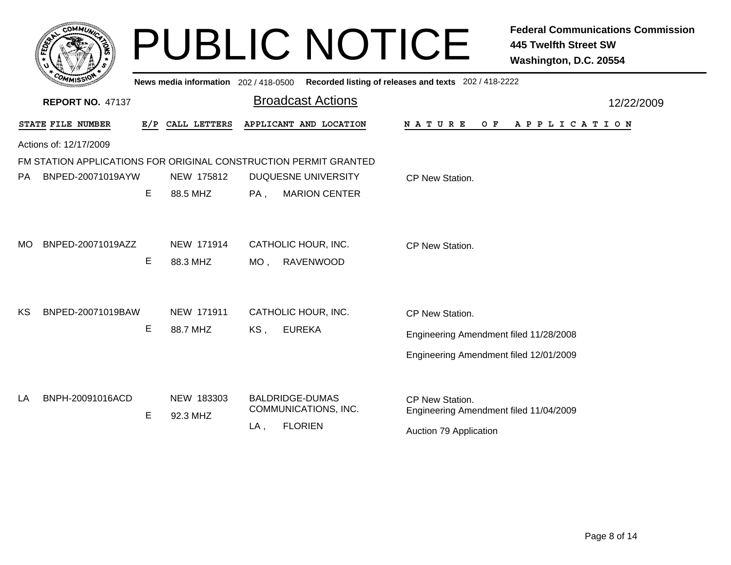|           | <b>COMMUT</b>           |     |                                       | <b>PUBLIC NOTICE</b>                                             | <b>Federal Communications Commission</b><br><b>445 Twelfth Street SW</b><br>Washington, D.C. 20554 |
|-----------|-------------------------|-----|---------------------------------------|------------------------------------------------------------------|----------------------------------------------------------------------------------------------------|
|           |                         |     | News media information 202 / 418-0500 |                                                                  | Recorded listing of releases and texts 202 / 418-2222                                              |
|           | <b>REPORT NO. 47137</b> |     |                                       | <b>Broadcast Actions</b>                                         | 12/22/2009                                                                                         |
|           | STATE FILE NUMBER       | E/P | CALL LETTERS                          | APPLICANT AND LOCATION                                           | N A T U R E<br>O F<br>A P P L I C A T I O N                                                        |
|           | Actions of: 12/17/2009  |     |                                       |                                                                  |                                                                                                    |
|           |                         |     |                                       | FM STATION APPLICATIONS FOR ORIGINAL CONSTRUCTION PERMIT GRANTED |                                                                                                    |
| <b>PA</b> | BNPED-20071019AYW       |     | NEW 175812                            | <b>DUQUESNE UNIVERSITY</b>                                       | CP New Station.                                                                                    |
|           |                         | E   | 88.5 MHZ                              | <b>MARION CENTER</b><br>PA,                                      |                                                                                                    |
| <b>MO</b> | BNPED-20071019AZZ       |     | NEW 171914                            | CATHOLIC HOUR, INC.                                              | CP New Station.                                                                                    |
|           |                         | E   | 88.3 MHZ                              | <b>RAVENWOOD</b><br>MO ,                                         |                                                                                                    |
| KS        | BNPED-20071019BAW       |     | NEW 171911                            | CATHOLIC HOUR, INC.                                              | CP New Station.                                                                                    |
|           |                         | E   | 88.7 MHZ                              | <b>EUREKA</b><br>KS,                                             | Engineering Amendment filed 11/28/2008                                                             |
|           |                         |     |                                       |                                                                  | Engineering Amendment filed 12/01/2009                                                             |
| LA        | BNPH-20091016ACD        | E   | NEW 183303<br>92.3 MHZ                | <b>BALDRIDGE-DUMAS</b><br>COMMUNICATIONS, INC.                   | CP New Station.<br>Engineering Amendment filed 11/04/2009                                          |
|           |                         |     |                                       | <b>FLORIEN</b><br>LA,                                            | Auction 79 Application                                                                             |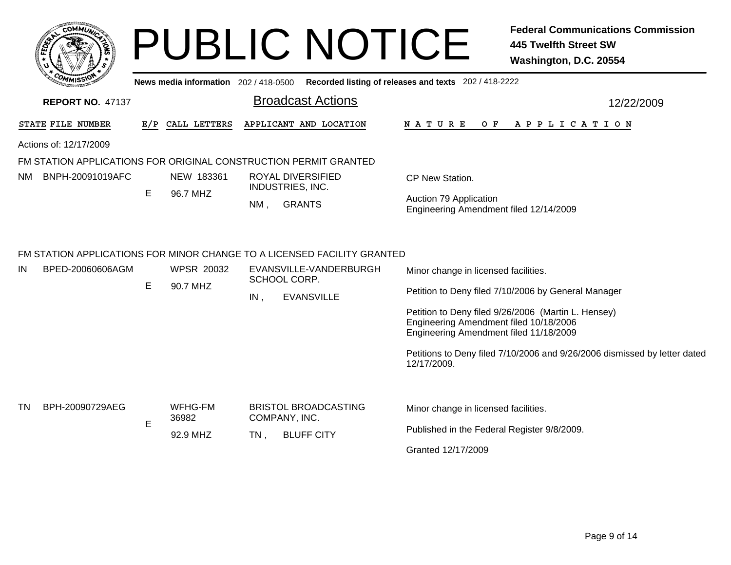| <b>COMMUN</b>                                                                                     |     |                               |        | <b>PUBLIC NOTICE</b>                                                                        |                                                                                  | <b>Federal Communications Commission</b><br><b>445 Twelfth Street SW</b><br>Washington, D.C. 20554 |
|---------------------------------------------------------------------------------------------------|-----|-------------------------------|--------|---------------------------------------------------------------------------------------------|----------------------------------------------------------------------------------|----------------------------------------------------------------------------------------------------|
|                                                                                                   |     |                               |        | News media information 202 / 418-0500 Recorded listing of releases and texts 202 / 418-2222 |                                                                                  |                                                                                                    |
| <b>REPORT NO. 47137</b>                                                                           |     |                               |        | <b>Broadcast Actions</b>                                                                    |                                                                                  | 12/22/2009                                                                                         |
| STATE FILE NUMBER                                                                                 | E/P | CALL LETTERS                  |        | APPLICANT AND LOCATION                                                                      | N A T U R E<br>O F                                                               | A P P L I C A T I O N                                                                              |
| Actions of: 12/17/2009                                                                            |     |                               |        |                                                                                             |                                                                                  |                                                                                                    |
| FM STATION APPLICATIONS FOR ORIGINAL CONSTRUCTION PERMIT GRANTED                                  |     |                               |        |                                                                                             |                                                                                  |                                                                                                    |
| BNPH-20091019AFC<br>NM.                                                                           |     | NEW 183361                    |        | ROYAL DIVERSIFIED<br><b>INDUSTRIES, INC.</b>                                                | CP New Station.                                                                  |                                                                                                    |
|                                                                                                   | E.  | 96.7 MHZ                      | NM,    | <b>GRANTS</b>                                                                               | Auction 79 Application<br>Engineering Amendment filed 12/14/2009                 |                                                                                                    |
| FM STATION APPLICATIONS FOR MINOR CHANGE TO A LICENSED FACILITY GRANTED<br>IN<br>BPED-20060606AGM | E   | <b>WPSR 20032</b><br>90.7 MHZ |        | EVANSVILLE-VANDERBURGH<br>SCHOOL CORP.                                                      | Minor change in licensed facilities.                                             |                                                                                                    |
|                                                                                                   |     |                               | IN,    | <b>EVANSVILLE</b>                                                                           |                                                                                  | Petition to Deny filed 7/10/2006 by General Manager                                                |
|                                                                                                   |     |                               |        |                                                                                             | Engineering Amendment filed 10/18/2006<br>Engineering Amendment filed 11/18/2009 | Petition to Deny filed 9/26/2006 (Martin L. Hensey)                                                |
|                                                                                                   |     |                               |        |                                                                                             | 12/17/2009.                                                                      | Petitions to Deny filed 7/10/2006 and 9/26/2006 dismissed by letter dated                          |
| TN<br>BPH-20090729AEG                                                                             | E   | <b>WFHG-FM</b><br>36982       |        | <b>BRISTOL BROADCASTING</b><br>COMPANY, INC.                                                | Minor change in licensed facilities.                                             |                                                                                                    |
|                                                                                                   |     | 92.9 MHZ                      | $TN$ , | <b>BLUFF CITY</b>                                                                           | Published in the Federal Register 9/8/2009.                                      |                                                                                                    |
|                                                                                                   |     |                               |        |                                                                                             | Granted 12/17/2009                                                               |                                                                                                    |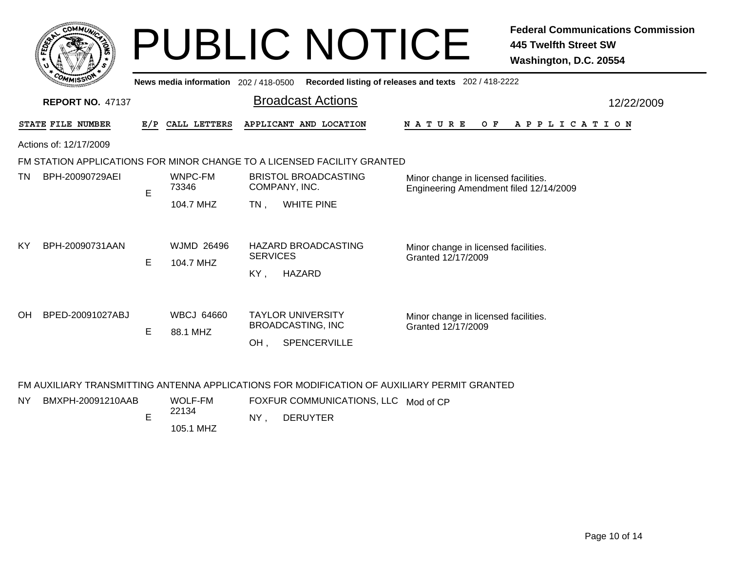|    | <b>MMUNT</b><br><b>CO</b>       |    |
|----|---------------------------------|----|
| සි |                                 | ୍ତ |
|    |                                 |    |
|    | COM<br>MISS <sup>.</sup><br>--- |    |

# PUBLIC NOTICE **Federal Communications Commission 445 Twelfth Street SW Washington, D.C. 20554**

| <b>WANISSY</b>                                                          |   |       | News media information 202/418-0500 |                                                 |                                        |                             | Recorded listing of releases and texts 202 / 418-2222 |                                                                                |                                                            |             |  |  |  |  |     |  |                                      |                       |  |  |            |  |
|-------------------------------------------------------------------------|---|-------|-------------------------------------|-------------------------------------------------|----------------------------------------|-----------------------------|-------------------------------------------------------|--------------------------------------------------------------------------------|------------------------------------------------------------|-------------|--|--|--|--|-----|--|--------------------------------------|-----------------------|--|--|------------|--|
| <b>REPORT NO. 47137</b>                                                 |   |       |                                     |                                                 |                                        | <b>Broadcast Actions</b>    |                                                       |                                                                                |                                                            |             |  |  |  |  |     |  |                                      |                       |  |  | 12/22/2009 |  |
| STATE FILE NUMBER                                                       |   |       | E/P CALL LETTERS                    |                                                 |                                        | APPLICANT AND LOCATION      |                                                       |                                                                                |                                                            | N A T U R E |  |  |  |  | O F |  |                                      | A P P L I C A T I O N |  |  |            |  |
| Actions of: 12/17/2009                                                  |   |       |                                     |                                                 |                                        |                             |                                                       |                                                                                |                                                            |             |  |  |  |  |     |  |                                      |                       |  |  |            |  |
| FM STATION APPLICATIONS FOR MINOR CHANGE TO A LICENSED FACILITY GRANTED |   |       |                                     |                                                 |                                        |                             |                                                       |                                                                                |                                                            |             |  |  |  |  |     |  |                                      |                       |  |  |            |  |
| TN<br>BPH-20090729AEI                                                   | E | 73346 | WNPC-FM                             | COMPANY, INC.                                   |                                        | <b>BRISTOL BROADCASTING</b> |                                                       | Minor change in licensed facilities.<br>Engineering Amendment filed 12/14/2009 |                                                            |             |  |  |  |  |     |  |                                      |                       |  |  |            |  |
|                                                                         |   |       | 104.7 MHZ                           | $TN$ ,                                          |                                        | <b>WHITE PINE</b>           |                                                       |                                                                                |                                                            |             |  |  |  |  |     |  |                                      |                       |  |  |            |  |
| ΚY<br>BPH-20090731AAN                                                   | Е |       | <b>WJMD 26496</b><br>104.7 MHZ      |                                                 | HAZARD BROADCASTING<br><b>SERVICES</b> |                             |                                                       |                                                                                | Minor change in licensed facilities.<br>Granted 12/17/2009 |             |  |  |  |  |     |  |                                      |                       |  |  |            |  |
|                                                                         |   |       |                                     | KY,                                             |                                        | <b>HAZARD</b>               |                                                       |                                                                                |                                                            |             |  |  |  |  |     |  |                                      |                       |  |  |            |  |
| OH<br>BPED-20091027ABJ                                                  |   |       | <b>WBCJ 64660</b>                   |                                                 |                                        | <b>TAYLOR UNIVERSITY</b>    |                                                       |                                                                                |                                                            |             |  |  |  |  |     |  | Minor change in licensed facilities. |                       |  |  |            |  |
|                                                                         |   | Е     | 88.1 MHZ                            | <b>BROADCASTING, INC</b><br>SPENCERVILLE<br>OH. |                                        |                             |                                                       | Granted 12/17/2009                                                             |                                                            |             |  |  |  |  |     |  |                                      |                       |  |  |            |  |
|                                                                         |   |       |                                     |                                                 |                                        |                             |                                                       |                                                                                |                                                            |             |  |  |  |  |     |  |                                      |                       |  |  |            |  |
|                                                                         |   |       |                                     |                                                 |                                        |                             |                                                       |                                                                                |                                                            |             |  |  |  |  |     |  |                                      |                       |  |  |            |  |

### FM AUXILIARY TRANSMITTING ANTENNA APPLICATIONS FOR MODIFICATION OF AUXILIARY PERMIT GRANTED

| <b>NY</b> | BMXPH-20091210AAB |  | WOLF-FM<br>22134<br>105.1 MHZ | FOXFUR COMMUNICATIONS, LLC Mod of CP |  |  |
|-----------|-------------------|--|-------------------------------|--------------------------------------|--|--|
|           |                   |  |                               | NΥ<br>DERUYTER                       |  |  |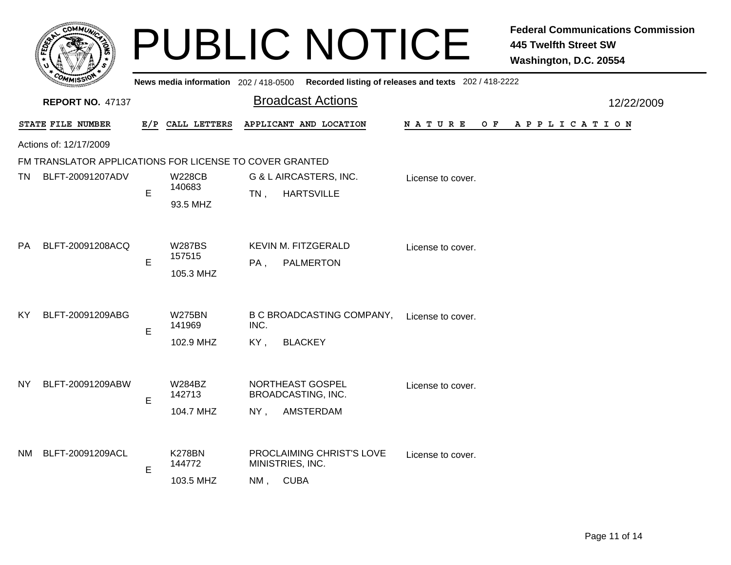|     |                                                         |             |                                       | <b>PUBLIC NOTICE</b>                                                       |                                                       | <b>Federal Communications Commission</b><br><b>445 Twelfth Street SW</b><br>Washington, D.C. 20554 |
|-----|---------------------------------------------------------|-------------|---------------------------------------|----------------------------------------------------------------------------|-------------------------------------------------------|----------------------------------------------------------------------------------------------------|
|     |                                                         |             | News media information 202 / 418-0500 |                                                                            | Recorded listing of releases and texts 202 / 418-2222 |                                                                                                    |
|     | <b>REPORT NO. 47137</b>                                 |             |                                       | <b>Broadcast Actions</b>                                                   |                                                       | 12/22/2009                                                                                         |
|     | STATE FILE NUMBER                                       |             | E/P CALL LETTERS                      | APPLICANT AND LOCATION                                                     | O F<br>N A T U R E                                    | A P P L I C A T I O N                                                                              |
|     | Actions of: 12/17/2009                                  |             |                                       |                                                                            |                                                       |                                                                                                    |
|     | FM TRANSLATOR APPLICATIONS FOR LICENSE TO COVER GRANTED |             |                                       |                                                                            |                                                       |                                                                                                    |
| TN. | BLFT-20091207ADV                                        | E           | W228CB<br>140683<br>93.5 MHZ          | <b>G &amp; L AIRCASTERS, INC.</b><br><b>HARTSVILLE</b><br>TN.              | License to cover.                                     |                                                                                                    |
| PA  | BLFT-20091208ACQ                                        | E           | <b>W287BS</b><br>157515<br>105.3 MHZ  | <b>KEVIN M. FITZGERALD</b><br>PA,<br><b>PALMERTON</b>                      | License to cover.                                     |                                                                                                    |
| ΚY  | BLFT-20091209ABG                                        | E           | <b>W275BN</b><br>141969<br>102.9 MHZ  | <b>B C BROADCASTING COMPANY,</b><br>INC.<br>KY,<br><b>BLACKEY</b>          | License to cover.                                     |                                                                                                    |
| ΝY  | BLFT-20091209ABW                                        | E           | W284BZ<br>142713<br>104.7 MHZ         | NORTHEAST GOSPEL<br>BROADCASTING, INC.<br><b>AMSTERDAM</b><br>NY,          | License to cover.                                     |                                                                                                    |
| NM. | BLFT-20091209ACL                                        | $\mathsf E$ | <b>K278BN</b><br>144772<br>103.5 MHZ  | <b>PROCLAIMING CHRIST'S LOVE</b><br>MINISTRIES, INC.<br><b>CUBA</b><br>NM, | License to cover.                                     |                                                                                                    |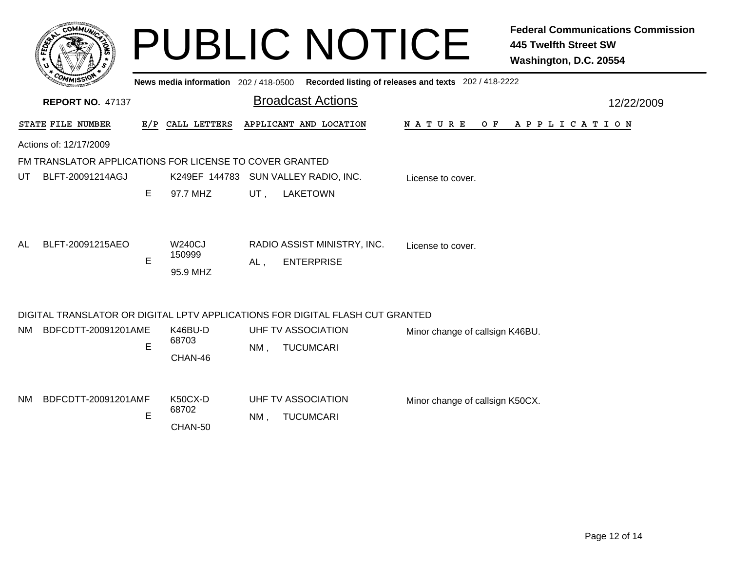|                                                                               | <b>COMMI</b>                                            |   | News media information 202/418-0500 |        | <b>PUBLIC NOTICE</b>                   | Recorded listing of releases and texts 202 / 418-2222 | <b>Federal Communications Commission</b><br><b>445 Twelfth Street SW</b><br>Washington, D.C. 20554 |
|-------------------------------------------------------------------------------|---------------------------------------------------------|---|-------------------------------------|--------|----------------------------------------|-------------------------------------------------------|----------------------------------------------------------------------------------------------------|
|                                                                               | <b>REPORT NO. 47137</b>                                 |   |                                     |        | <b>Broadcast Actions</b>               |                                                       | 12/22/2009                                                                                         |
|                                                                               | STATE FILE NUMBER                                       |   | E/P CALL LETTERS                    |        | APPLICANT AND LOCATION                 |                                                       | NATURE OF APPLICATION                                                                              |
|                                                                               | Actions of: 12/17/2009                                  |   |                                     |        |                                        |                                                       |                                                                                                    |
|                                                                               | FM TRANSLATOR APPLICATIONS FOR LICENSE TO COVER GRANTED |   |                                     |        |                                        |                                                       |                                                                                                    |
| UT                                                                            | BLFT-20091214AGJ                                        |   |                                     |        | K249EF 144783 SUN VALLEY RADIO, INC.   | License to cover.                                     |                                                                                                    |
|                                                                               |                                                         | E | 97.7 MHZ                            | UT,    | <b>LAKETOWN</b>                        |                                                       |                                                                                                    |
| AL                                                                            | BLFT-20091215AEO                                        |   | W240CJ                              |        | RADIO ASSIST MINISTRY, INC.            | License to cover.                                     |                                                                                                    |
|                                                                               |                                                         | E | 150999<br>95.9 MHZ                  | $AL$ , | <b>ENTERPRISE</b>                      |                                                       |                                                                                                    |
| DIGITAL TRANSLATOR OR DIGITAL LPTV APPLICATIONS FOR DIGITAL FLASH CUT GRANTED |                                                         |   |                                     |        |                                        |                                                       |                                                                                                    |
| NM.                                                                           | BDFCDTT-20091201AME                                     |   | K46BU-D<br>68703                    |        | UHF TV ASSOCIATION                     | Minor change of callsign K46BU.                       |                                                                                                    |
|                                                                               |                                                         | E | CHAN-46                             | $NM$ . | <b>TUCUMCARI</b>                       |                                                       |                                                                                                    |
| NM                                                                            | BDFCDTT-20091201AMF                                     | E | K50CX-D<br>68702<br>CHAN-50         | NM.    | UHF TV ASSOCIATION<br><b>TUCUMCARI</b> | Minor change of callsign K50CX.                       |                                                                                                    |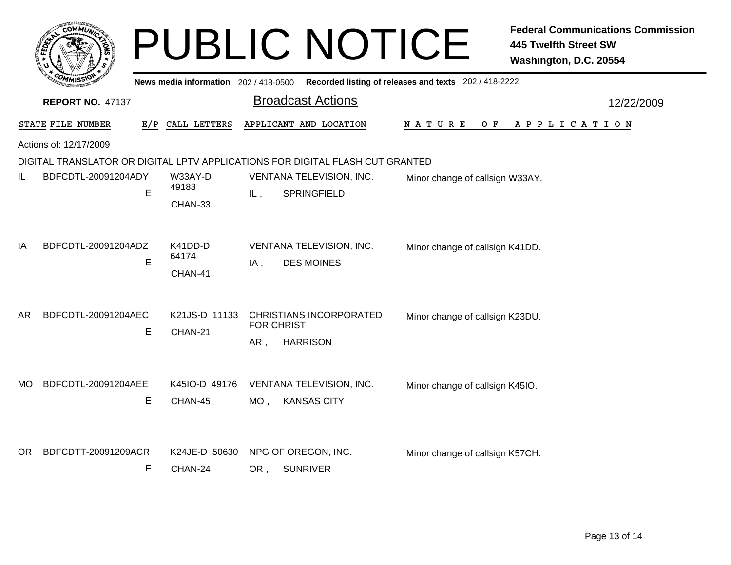|     |                         |              |                                     |                          | <b>PUBLIC NOTICE</b>                                                          |                                                       | <b>Federal Communications Commission</b><br><b>445 Twelfth Street SW</b><br>Washington, D.C. 20554 |
|-----|-------------------------|--------------|-------------------------------------|--------------------------|-------------------------------------------------------------------------------|-------------------------------------------------------|----------------------------------------------------------------------------------------------------|
|     |                         |              | News media information 202/418-0500 |                          |                                                                               | Recorded listing of releases and texts 202 / 418-2222 |                                                                                                    |
|     | <b>REPORT NO. 47137</b> |              |                                     |                          | <b>Broadcast Actions</b>                                                      |                                                       | 12/22/2009                                                                                         |
|     | STATE FILE NUMBER       | E/P          | CALL LETTERS                        |                          | APPLICANT AND LOCATION                                                        | N A T U R E<br>O F                                    | A P P L I C A T I O N                                                                              |
|     | Actions of: 12/17/2009  |              |                                     |                          |                                                                               |                                                       |                                                                                                    |
|     |                         |              |                                     |                          | DIGITAL TRANSLATOR OR DIGITAL LPTV APPLICATIONS FOR DIGITAL FLASH CUT GRANTED |                                                       |                                                                                                    |
| IL  | BDFCDTL-20091204ADY     | E            | W33AY-D<br>49183                    | IL,                      | VENTANA TELEVISION, INC.<br>SPRINGFIELD                                       | Minor change of callsign W33AY.                       |                                                                                                    |
|     |                         |              | CHAN-33                             |                          |                                                                               |                                                       |                                                                                                    |
| ΙA  | BDFCDTL-20091204ADZ     |              | K41DD-D                             | VENTANA TELEVISION, INC. |                                                                               | Minor change of callsign K41DD.                       |                                                                                                    |
|     |                         | E            | 64174<br>CHAN-41                    | $IA$ ,                   | <b>DES MOINES</b>                                                             |                                                       |                                                                                                    |
| AR  | BDFCDTL-20091204AEC     | Е<br>CHAN-21 | K21JS-D 11133                       |                          | <b>CHRISTIANS INCORPORATED</b>                                                | Minor change of callsign K23DU.                       |                                                                                                    |
|     |                         |              |                                     | <b>FOR CHRIST</b><br>AR, | <b>HARRISON</b>                                                               |                                                       |                                                                                                    |
|     |                         |              |                                     |                          |                                                                               |                                                       |                                                                                                    |
| MO. | BDFCDTL-20091204AEE     |              | K45IO-D 49176                       |                          | VENTANA TELEVISION, INC.                                                      | Minor change of callsign K45IO.                       |                                                                                                    |
|     |                         | Е            | CHAN-45                             | $MO$ ,                   | <b>KANSAS CITY</b>                                                            |                                                       |                                                                                                    |
| OR. | BDFCDTT-20091209ACR     |              | K24JE-D 50630                       |                          | NPG OF OREGON, INC.                                                           | Minor change of callsign K57CH.                       |                                                                                                    |
|     |                         | E.           | CHAN-24                             | OR,                      | <b>SUNRIVER</b>                                                               |                                                       |                                                                                                    |